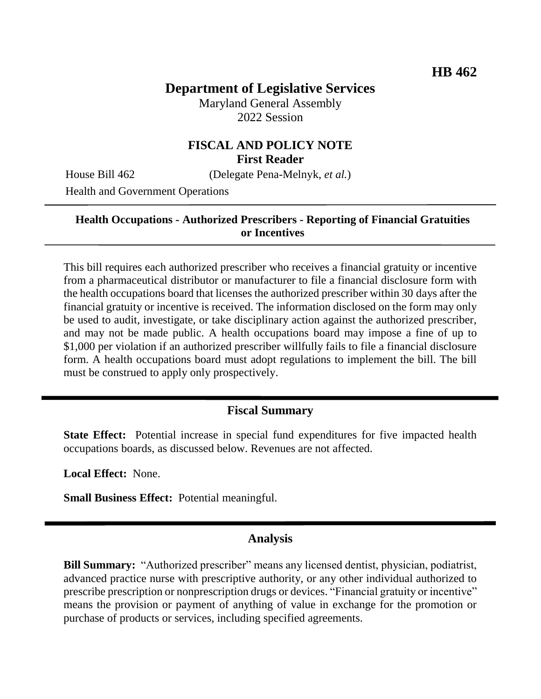# **Department of Legislative Services**

Maryland General Assembly 2022 Session

## **FISCAL AND POLICY NOTE First Reader**

House Bill 462 (Delegate Pena-Melnyk, *et al.*)

Health and Government Operations

#### **Health Occupations - Authorized Prescribers - Reporting of Financial Gratuities or Incentives**

This bill requires each authorized prescriber who receives a financial gratuity or incentive from a pharmaceutical distributor or manufacturer to file a financial disclosure form with the health occupations board that licenses the authorized prescriber within 30 days after the financial gratuity or incentive is received. The information disclosed on the form may only be used to audit, investigate, or take disciplinary action against the authorized prescriber, and may not be made public. A health occupations board may impose a fine of up to \$1,000 per violation if an authorized prescriber willfully fails to file a financial disclosure form. A health occupations board must adopt regulations to implement the bill. The bill must be construed to apply only prospectively.

### **Fiscal Summary**

**State Effect:** Potential increase in special fund expenditures for five impacted health occupations boards, as discussed below. Revenues are not affected.

**Local Effect:** None.

**Small Business Effect:** Potential meaningful.

#### **Analysis**

**Bill Summary:** "Authorized prescriber" means any licensed dentist, physician, podiatrist, advanced practice nurse with prescriptive authority, or any other individual authorized to prescribe prescription or nonprescription drugs or devices. "Financial gratuity or incentive" means the provision or payment of anything of value in exchange for the promotion or purchase of products or services, including specified agreements.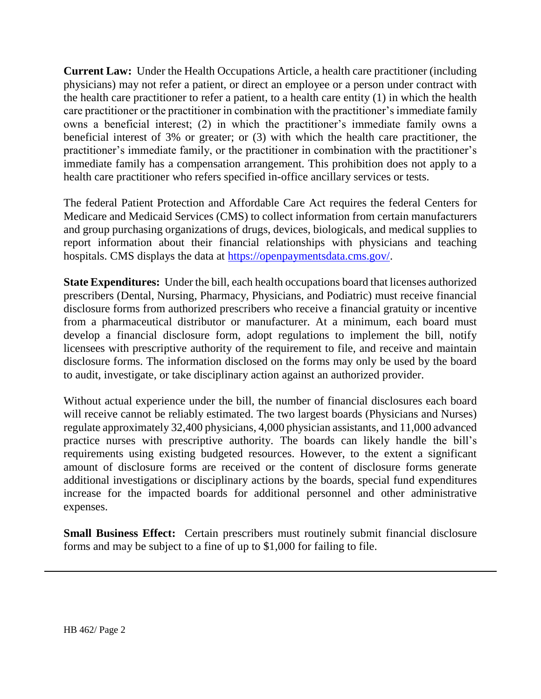**Current Law:** Under the Health Occupations Article, a health care practitioner (including physicians) may not refer a patient, or direct an employee or a person under contract with the health care practitioner to refer a patient, to a health care entity (1) in which the health care practitioner or the practitioner in combination with the practitioner's immediate family owns a beneficial interest; (2) in which the practitioner's immediate family owns a beneficial interest of 3% or greater; or (3) with which the health care practitioner, the practitioner's immediate family, or the practitioner in combination with the practitioner's immediate family has a compensation arrangement. This prohibition does not apply to a health care practitioner who refers specified in-office ancillary services or tests.

The federal Patient Protection and Affordable Care Act requires the federal Centers for Medicare and Medicaid Services (CMS) to collect information from certain manufacturers and group purchasing organizations of drugs, devices, biologicals, and medical supplies to report information about their financial relationships with physicians and teaching hospitals. CMS displays the data at [https://openpaymentsdata.cms.gov/.](https://openpaymentsdata.cms.gov/)

**State Expenditures:** Under the bill, each health occupations board that licenses authorized prescribers (Dental, Nursing, Pharmacy, Physicians, and Podiatric) must receive financial disclosure forms from authorized prescribers who receive a financial gratuity or incentive from a pharmaceutical distributor or manufacturer. At a minimum, each board must develop a financial disclosure form, adopt regulations to implement the bill, notify licensees with prescriptive authority of the requirement to file, and receive and maintain disclosure forms. The information disclosed on the forms may only be used by the board to audit, investigate, or take disciplinary action against an authorized provider.

Without actual experience under the bill, the number of financial disclosures each board will receive cannot be reliably estimated. The two largest boards (Physicians and Nurses) regulate approximately 32,400 physicians, 4,000 physician assistants, and 11,000 advanced practice nurses with prescriptive authority. The boards can likely handle the bill's requirements using existing budgeted resources. However, to the extent a significant amount of disclosure forms are received or the content of disclosure forms generate additional investigations or disciplinary actions by the boards, special fund expenditures increase for the impacted boards for additional personnel and other administrative expenses.

**Small Business Effect:** Certain prescribers must routinely submit financial disclosure forms and may be subject to a fine of up to \$1,000 for failing to file.